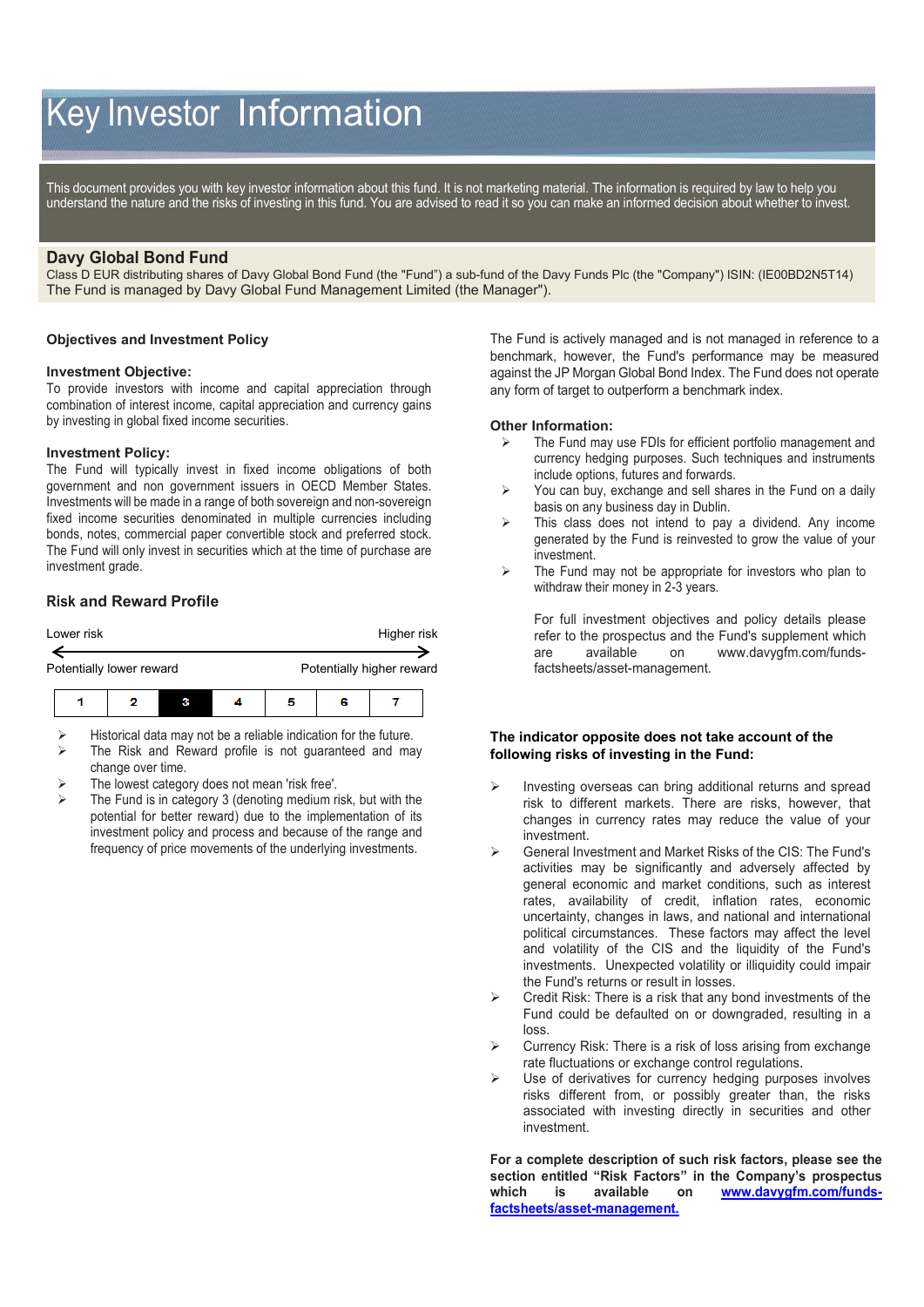# Key Investor Information

This document provides you with key investor information about this fund. It is not marketing material. The information is required by law to help you understand the nature and the risks of investing in this fund. You are advised to read it so you can make an informed decision about whether to invest.

# **Davy Global Bond Fund**

Class D EUR distributing shares of Davy Global Bond Fund (the "Fund") a sub-fund of the Davy Funds Plc (the "Company") ISIN: (IE00BD2N5T14) The Fund is managed by Davy Global Fund Management Limited (the Manager").

#### **Objectives and Investment Policy**

#### **Investment Objective:**

To provide investors with income and capital appreciation through combination of interest income, capital appreciation and currency gains by investing in global fixed income securities.

#### **Investment Policy:**

The Fund will typically invest in fixed income obligations of both government and non government issuers in OECD Member States. Investments will be made in a range of both sovereign and non-sovereign fixed income securities denominated in multiple currencies including bonds, notes, commercial paper convertible stock and preferred stock. The Fund will only invest in securities which at the time of purchase are investment grade.

## **Risk and Reward Profile**



 Historical data may not be a reliable indication for the future.  $\triangleright$  The Risk and Reward profile is not guaranteed and may

- change over time. The lowest category does not mean 'risk free'.
- The Fund is in category 3 (denoting medium risk, but with the potential for better reward) due to the implementation of its investment policy and process and because of the range and frequency of price movements of the underlying investments.

The Fund is actively managed and is not managed in reference to a benchmark, however, the Fund's performance may be measured against the JP Morgan Global Bond Index. The Fund does not operate any form of target to outperform a benchmark index.

#### **Other Information:**

- The Fund may use FDIs for efficient portfolio management and currency hedging purposes. Such techniques and instruments include options, futures and forwards.
- $\triangleright$  You can buy, exchange and sell shares in the Fund on a daily basis on any business day in Dublin.
- $\triangleright$  This class does not intend to pay a dividend. Any income generated by the Fund is reinvested to grow the value of your investment.
- $\triangleright$  The Fund may not be appropriate for investors who plan to withdraw their money in 2-3 years.

For full investment objectives and policy details please refer to the prospectus and the Fund's supplement which are available on [www.davygfm.com/funds](http://www.davy.ie/)[factsheets/asset-management.](http://www.davy.ie/)

#### **The indicator opposite does not take account of the following risks of investing in the Fund:**

- Investing overseas can bring additional returns and spread risk to different markets. There are risks, however, that changes in currency rates may reduce the value of your investment.
- General Investment and Market Risks of the CIS: The Fund's activities may be significantly and adversely affected by general economic and market conditions, such as interest rates, availability of credit, inflation rates, economic uncertainty, changes in laws, and national and international political circumstances. These factors may affect the level and volatility of the CIS and the liquidity of the Fund's investments. Unexpected volatility or illiquidity could impair the Fund's returns or result in losses.
- Credit Risk: There is a risk that any bond investments of the Fund could be defaulted on or downgraded, resulting in a loss.
- Currency Risk: There is a risk of loss arising from exchange rate fluctuations or exchange control regulations.
- Use of derivatives for currency hedging purposes involves risks different from, or possibly greater than, the risks associated with investing directly in securities and other investment.

**For a complete description of such risk factors, please see the section entitled "Risk Factors" in the Company's prospectus which is available on [www.davygfm.com/funds](http://www.davygfm.com/funds-factsheets/asset-management)[factsheets/asset-management.](http://www.davygfm.com/funds-factsheets/asset-management)**